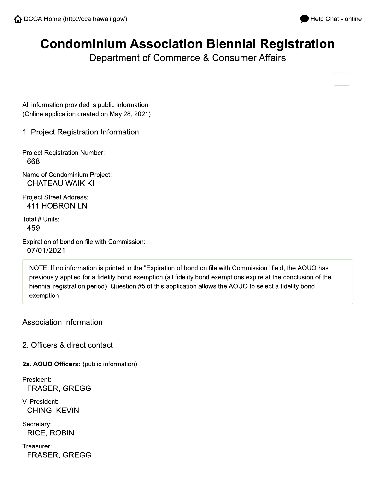# **Condominium Association Biennial Registration**

Department of Commerce & Consumer Affairs

All information provided is public information (Online application created on May 28, 2021)

1. Project Registration Information

**Project Registration Number:** 668

Name of Condominium Project: **CHATEAU WAIKIKI** 

**Project Street Address:** 411 HOBRON LN

Total # Units: 459

Expiration of bond on file with Commission: 07/01/2021

NOTE: If no information is printed in the "Expiration of bond on file with Commission" field, the AOUO has previously applied for a fidelity bond exemption (all fidelity bond exemptions expire at the conclusion of the biennial registration period). Question #5 of this application allows the AOUO to select a fidelity bond exemption.

**Association Information** 

2. Officers & direct contact

2a. AOUO Officers: (public information)

President: **FRASER, GREGG** 

V. President: CHING, KEVIN

Secretary: **RICE, ROBIN** 

Treasurer: **FRASER, GREGG**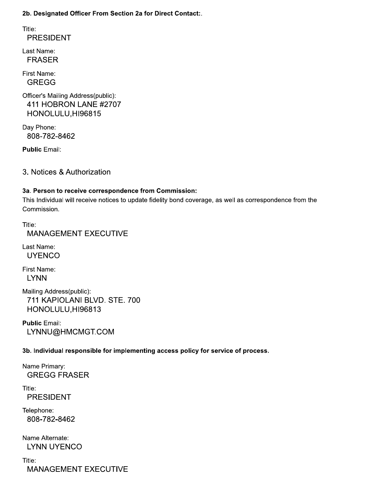2b. Designated Officer From Section 2a for Direct Contact:.

Title: **PRESIDENT** 

Last Name: **FRASER** 

First Name: **GREGG** 

Officer's Mailing Address(public): 411 HOBRON LANE #2707 HONOLULU, HI96815

Day Phone: 808-782-8462

**Public Email:** 

3. Notices & Authorization

#### 3a. Person to receive correspondence from Commission:

This Individual will receive notices to update fidelity bond coverage, as well as correspondence from the Commission.

Title: **MANAGEMENT EXECUTIVE** 

Last Name: **UYENCO** 

First Name: **LYNN** 

Mailing Address(public): 711 KAPIOLANI BLVD. STE. 700 HONOLULU, HI96813

**Public Email:** LYNNU@HMCMGT.COM

3b. Individual responsible for implementing access policy for service of process.

Name Primary: **GREGG FRASER** 

Title: **PRESIDENT** 

Telephone: 808-782-8462

Name Alternate: **LYNN UYENCO** 

Title: **MANAGEMENT EXECUTIVE**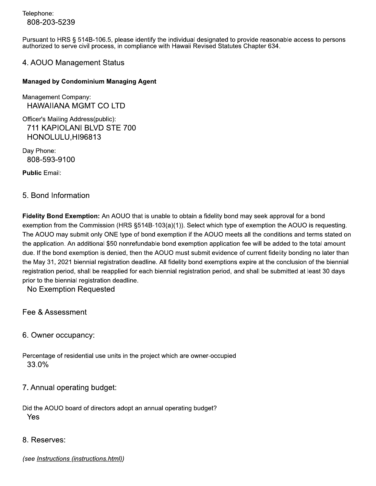Telephone: 808-203-5239

Pursuant to HRS § 514B-106.5, please identify the individual designated to provide reasonable access to persons authorized to serve civil process, in compliance with Hawaii Revised Statutes Chapter 634.

#### 4. AOUO Management Status

#### **Managed by Condominium Managing Agent**

Management Company: **HAWAIIANA MGMT CO LTD** 

Officer's Mailing Address(public): 711 KAPIOLANI BLVD STE 700 HONOLULU, HI96813

Day Phone: 808-593-9100

**Public Email:** 

#### 5. Bond Information

Fidelity Bond Exemption: An AOUO that is unable to obtain a fidelity bond may seek approval for a bond exemption from the Commission (HRS  $\S514B-103(a)(1)$ ). Select which type of exemption the AOUO is requesting. The AOUO may submit only ONE type of bond exemption if the AOUO meets all the conditions and terms stated on the application. An additional \$50 nonrefundable bond exemption application fee will be added to the total amount due. If the bond exemption is denied, then the AOUO must submit evidence of current fidelity bonding no later than the May 31, 2021 biennial registration deadline. All fidelity bond exemptions expire at the conclusion of the biennial registration period, shall be reapplied for each biennial registration period, and shall be submitted at least 30 days prior to the biennial registration deadline.

No Exemption Requested

Fee & Assessment

6. Owner occupancy:

Percentage of residential use units in the project which are owner-occupied 33.0%

7. Annual operating budget:

Did the AOUO board of directors adopt an annual operating budget? Yes

8. Reserves:

(see Instructions (instructions.html))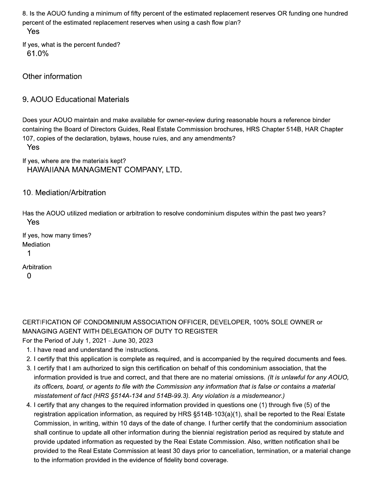8. Is the AOUO funding a minimum of fifty percent of the estimated replacement reserves OR funding one hundred percent of the estimated replacement reserves when using a cash flow plan? Yes

If yes, what is the percent funded? 61.0%

Other information

## 9. AOUO Educational Materials

Does your AOUO maintain and make available for owner-review during reasonable hours a reference binder containing the Board of Directors Guides, Real Estate Commission brochures, HRS Chapter 514B, HAR Chapter 107, copies of the declaration, bylaws, house rules, and any amendments?

Yes

If yes, where are the materials kept? HAWAIIANA MANAGMENT COMPANY, LTD.

### 10. Mediation/Arbitration

Has the AOUO utilized mediation or arbitration to resolve condominium disputes within the past two years? Yes

If yes, how many times? Mediation  $\mathbf 1$ Arbitration

 $\Omega$ 

CERTIFICATION OF CONDOMINIUM ASSOCIATION OFFICER, DEVELOPER, 100% SOLE OWNER or MANAGING AGENT WITH DELEGATION OF DUTY TO REGISTER

For the Period of July 1, 2021 - June 30, 2023

- 1. I have read and understand the Instructions.
- 2. I certify that this application is complete as required, and is accompanied by the required documents and fees.
- 3. I certify that I am authorized to sign this certification on behalf of this condominium association, that the information provided is true and correct, and that there are no material omissions. (It is unlawful for any AOUO, its officers, board, or agents to file with the Commission any information that is false or contains a material misstatement of fact (HRS §514A-134 and 514B-99.3). Any violation is a misdemeanor.)
- 4. I certify that any changes to the required information provided in questions one (1) through five (5) of the registration application information, as required by HRS §514B-103(a)(1), shall be reported to the Real Estate Commission, in writing, within 10 days of the date of change. I further certify that the condominium association shall continue to update all other information during the biennial registration period as reguired by statute and provide updated information as requested by the Real Estate Commission. Also, written notification shall be provided to the Real Estate Commission at least 30 days prior to cancellation, termination, or a material change to the information provided in the evidence of fidelity bond coverage.